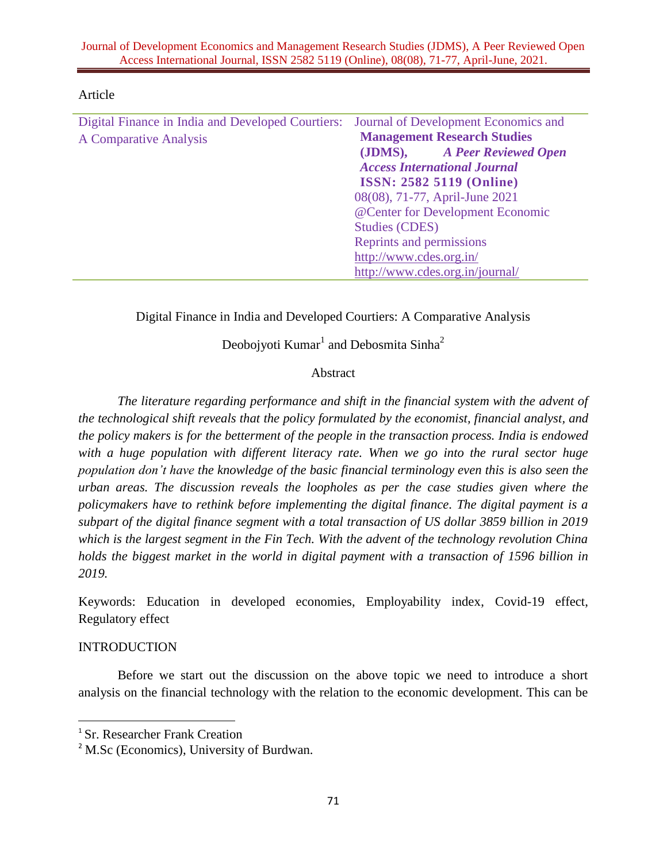| Digital Finance in India and Developed Courtiers: | Journal of Development Economics and |
|---------------------------------------------------|--------------------------------------|
| A Comparative Analysis                            | <b>Management Research Studies</b>   |
|                                                   | (JDMS), A Peer Reviewed Open         |
|                                                   | <b>Access International Journal</b>  |
|                                                   | <b>ISSN: 2582 5119 (Online)</b>      |
|                                                   | 08(08), 71-77, April-June 2021       |
|                                                   | @Center for Development Economic     |
|                                                   | <b>Studies (CDES)</b>                |
|                                                   | Reprints and permissions             |
|                                                   | http://www.cdes.org.in/              |
|                                                   | http://www.cdes.org.in/journal/      |

#### Article

Digital Finance in India and Developed Courtiers: A Comparative Analysis

Deobojyoti  $Kumar^1$  and Debosmita Sinha<sup>2</sup>

## Abstract

*The literature regarding performance and shift in the financial system with the advent of the technological shift reveals that the policy formulated by the economist, financial analyst, and the policy makers is for the betterment of the people in the transaction process. India is endowed with a huge population with different literacy rate. When we go into the rural sector huge population don't have the knowledge of the basic financial terminology even this is also seen the urban areas. The discussion reveals the loopholes as per the case studies given where the policymakers have to rethink before implementing the digital finance. The digital payment is a subpart of the digital finance segment with a total transaction of US dollar 3859 billion in 2019 which is the largest segment in the Fin Tech. With the advent of the technology revolution China holds the biggest market in the world in digital payment with a transaction of 1596 billion in 2019.*

Keywords: Education in developed economies, Employability index, Covid-19 effect, Regulatory effect

## **INTRODUCTION**

 $\overline{\phantom{a}}$ 

Before we start out the discussion on the above topic we need to introduce a short analysis on the financial technology with the relation to the economic development. This can be

<sup>1</sup> Sr. Researcher Frank Creation

<sup>&</sup>lt;sup>2</sup> M.Sc (Economics), University of Burdwan.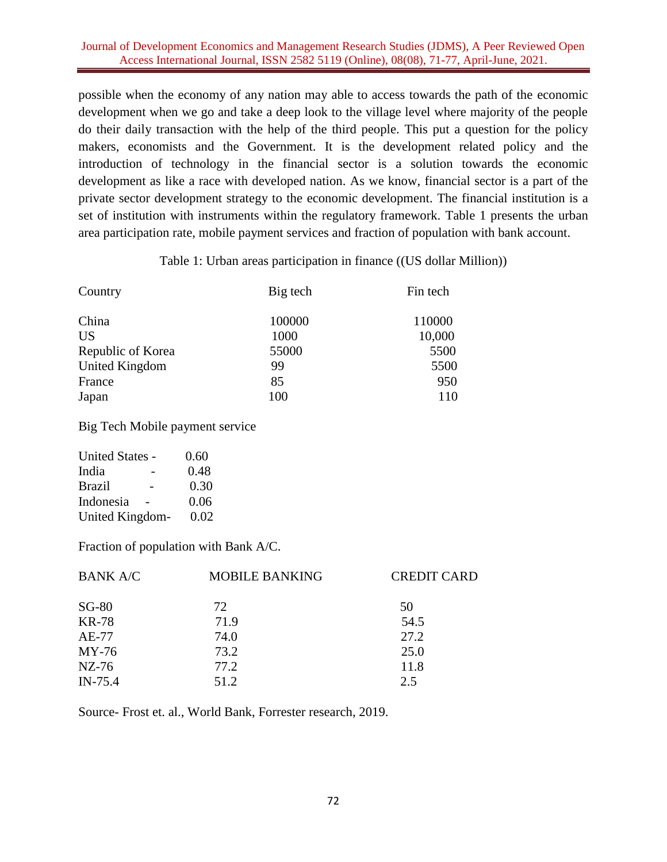### Journal of Development Economics and Management Research Studies (JDMS), A Peer Reviewed Open Access International Journal, ISSN 2582 5119 (Online), 08(08), 71-77, April-June, 2021.

possible when the economy of any nation may able to access towards the path of the economic development when we go and take a deep look to the village level where majority of the people do their daily transaction with the help of the third people. This put a question for the policy makers, economists and the Government. It is the development related policy and the introduction of technology in the financial sector is a solution towards the economic development as like a race with developed nation. As we know, financial sector is a part of the private sector development strategy to the economic development. The financial institution is a set of institution with instruments within the regulatory framework. Table 1 presents the urban area participation rate, mobile payment services and fraction of population with bank account.

Table 1: Urban areas participation in finance ((US dollar Million))

| Country           | Big tech | Fin tech |
|-------------------|----------|----------|
| China             | 100000   | 110000   |
| <b>US</b>         | 1000     | 10,000   |
| Republic of Korea | 55000    | 5500     |
| United Kingdom    | 99       | 5500     |
| France            | 85       | 950      |
| Japan             | 100      | 110      |

Big Tech Mobile payment service

| United States - | 0.60 |
|-----------------|------|
| India           | 0.48 |
| <b>Brazil</b>   | 0.30 |
| Indonesia       | 0.06 |
| United Kingdom- | 0.02 |

Fraction of population with Bank A/C.

| <b>BANK A/C</b> | <b>MOBILE BANKING</b> | <b>CREDIT CARD</b> |
|-----------------|-----------------------|--------------------|
| $SG-80$         | 72                    | 50                 |
| <b>KR-78</b>    | 71.9                  | 54.5               |
| AE-77           | 74.0                  | 27.2               |
| $MY-76$         | 73.2                  | 25.0               |
| $NZ-76$         | 77.2                  | 11.8               |
| $IN-75.4$       | 51.2                  | 2.5                |

Source- Frost et. al., World Bank, Forrester research, 2019.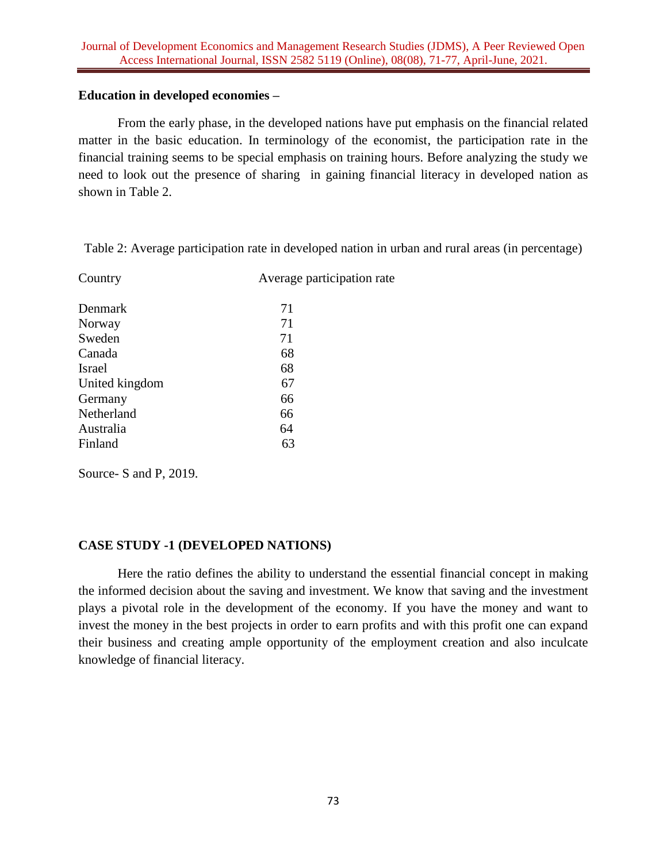## **Education in developed economies –**

From the early phase, in the developed nations have put emphasis on the financial related matter in the basic education. In terminology of the economist, the participation rate in the financial training seems to be special emphasis on training hours. Before analyzing the study we need to look out the presence of sharing in gaining financial literacy in developed nation as shown in Table 2.

Table 2: Average participation rate in developed nation in urban and rural areas (in percentage)

| Country        | Average participation rate |
|----------------|----------------------------|
| Denmark        | 71                         |
| Norway         | 71                         |
| Sweden         | 71                         |
| Canada         | 68                         |
| <b>Israel</b>  | 68                         |
| United kingdom | 67                         |
| Germany        | 66                         |
| Netherland     | 66                         |
| Australia      | 64                         |
| Finland        | 63                         |
|                |                            |

Source- S and P, 2019.

## **CASE STUDY -1 (DEVELOPED NATIONS)**

Here the ratio defines the ability to understand the essential financial concept in making the informed decision about the saving and investment. We know that saving and the investment plays a pivotal role in the development of the economy. If you have the money and want to invest the money in the best projects in order to earn profits and with this profit one can expand their business and creating ample opportunity of the employment creation and also inculcate knowledge of financial literacy.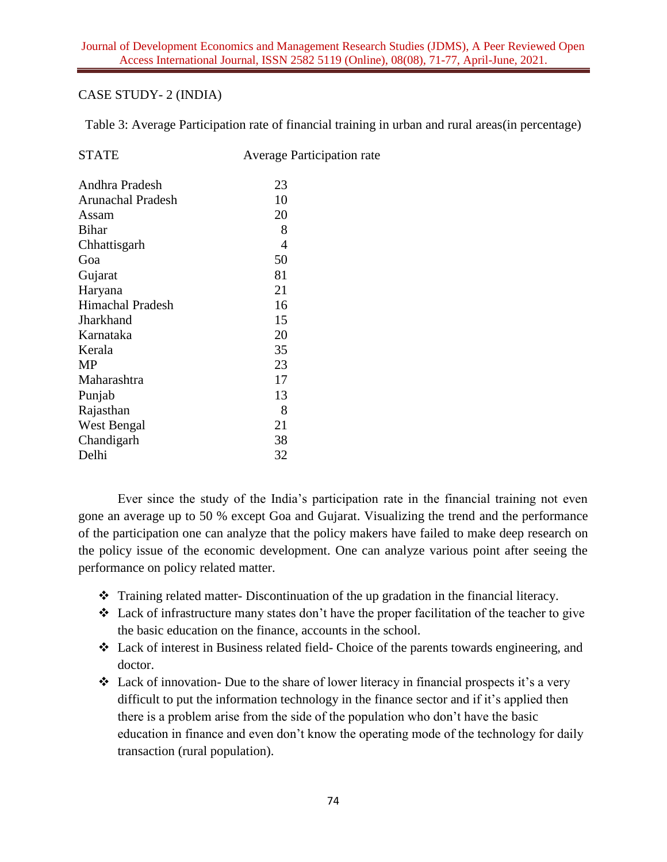## CASE STUDY- 2 (INDIA)

Table 3: Average Participation rate of financial training in urban and rural areas(in percentage)

| <b>STATE</b>            | <b>Average Participation rate</b> |
|-------------------------|-----------------------------------|
| Andhra Pradesh          | 23                                |
| Arunachal Pradesh       | 10                                |
| Assam                   | 20                                |
| <b>Bihar</b>            | 8                                 |
| Chhattisgarh            | 4                                 |
| Goa                     | 50                                |
| Gujarat                 | 81                                |
| Haryana                 | 21                                |
| <b>Himachal Pradesh</b> | 16                                |
| Jharkhand               | 15                                |
| Karnataka               | 20                                |
| Kerala                  | 35                                |
| MP                      | 23                                |
| Maharashtra             | 17                                |
| Punjab                  | 13                                |
| Rajasthan               | 8                                 |
| West Bengal             | 21                                |
| Chandigarh              | 38                                |
| Delhi                   | 32                                |

Ever since the study of the India's participation rate in the financial training not even gone an average up to 50 % except Goa and Gujarat. Visualizing the trend and the performance of the participation one can analyze that the policy makers have failed to make deep research on the policy issue of the economic development. One can analyze various point after seeing the performance on policy related matter.

- Training related matter-Discontinuation of the up gradation in the financial literacy.
- Lack of infrastructure many states don't have the proper facilitation of the teacher to give the basic education on the finance, accounts in the school.
- Lack of interest in Business related field- Choice of the parents towards engineering, and doctor.
- Lack of innovation- Due to the share of lower literacy in financial prospects it's a very difficult to put the information technology in the finance sector and if it's applied then there is a problem arise from the side of the population who don't have the basic education in finance and even don't know the operating mode of the technology for daily transaction (rural population).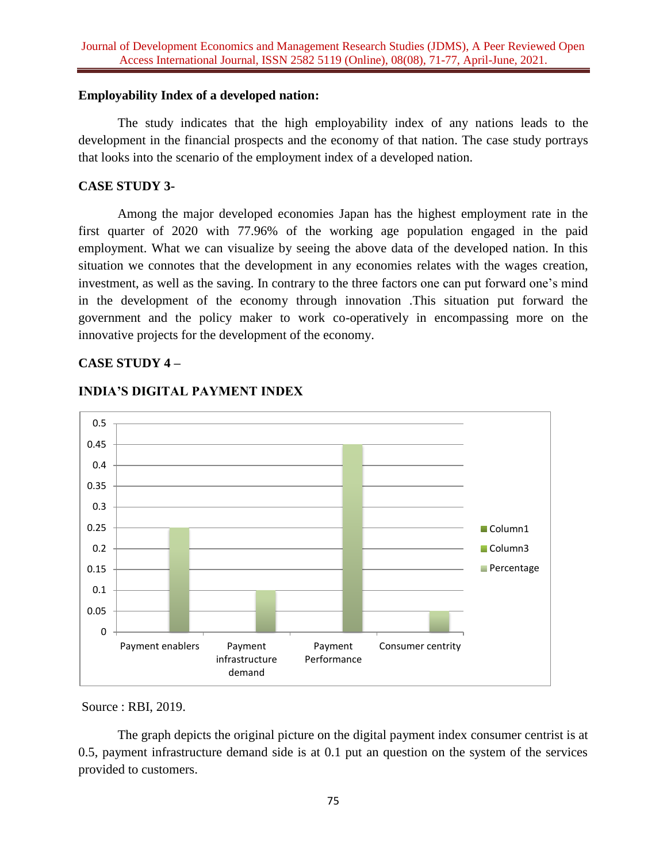#### **Employability Index of a developed nation:**

The study indicates that the high employability index of any nations leads to the development in the financial prospects and the economy of that nation. The case study portrays that looks into the scenario of the employment index of a developed nation.

#### **CASE STUDY 3-**

Among the major developed economies Japan has the highest employment rate in the first quarter of 2020 with 77.96% of the working age population engaged in the paid employment. What we can visualize by seeing the above data of the developed nation. In this situation we connotes that the development in any economies relates with the wages creation, investment, as well as the saving. In contrary to the three factors one can put forward one's mind in the development of the economy through innovation .This situation put forward the government and the policy maker to work co-operatively in encompassing more on the innovative projects for the development of the economy.

#### **CASE STUDY 4 –**



## **INDIA'S DIGITAL PAYMENT INDEX**

Source : RBI, 2019.

The graph depicts the original picture on the digital payment index consumer centrist is at 0.5, payment infrastructure demand side is at 0.1 put an question on the system of the services provided to customers.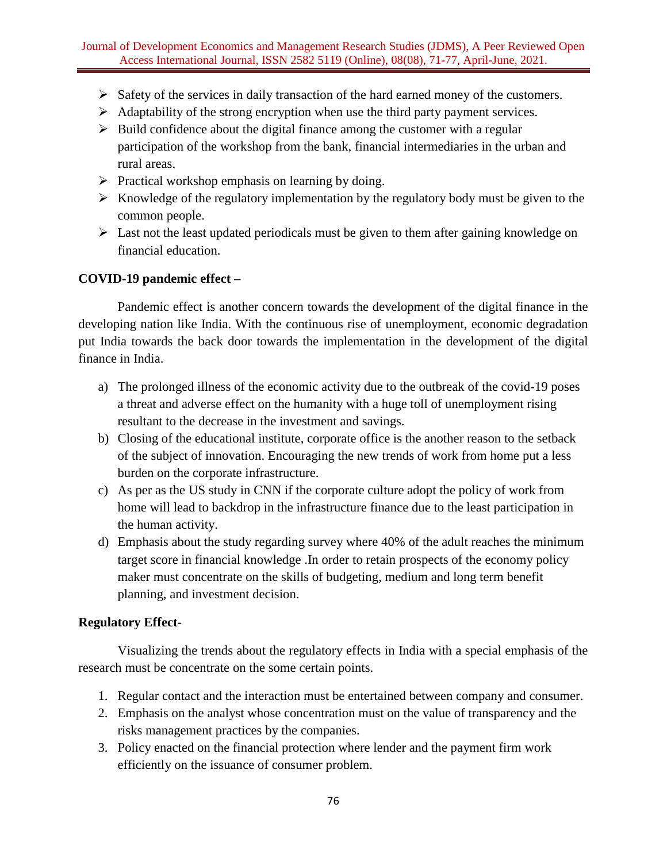### Journal of Development Economics and Management Research Studies (JDMS), A Peer Reviewed Open Access International Journal, ISSN 2582 5119 (Online), 08(08), 71-77, April-June, 2021.

- $\triangleright$  Safety of the services in daily transaction of the hard earned money of the customers.
- $\triangleright$  Adaptability of the strong encryption when use the third party payment services.
- $\triangleright$  Build confidence about the digital finance among the customer with a regular participation of the workshop from the bank, financial intermediaries in the urban and rural areas.
- $\triangleright$  Practical workshop emphasis on learning by doing.
- $\triangleright$  Knowledge of the regulatory implementation by the regulatory body must be given to the common people.
- $\triangleright$  Last not the least updated periodicals must be given to them after gaining knowledge on financial education.

## **COVID-19 pandemic effect –**

Pandemic effect is another concern towards the development of the digital finance in the developing nation like India. With the continuous rise of unemployment, economic degradation put India towards the back door towards the implementation in the development of the digital finance in India.

- a) The prolonged illness of the economic activity due to the outbreak of the covid-19 poses a threat and adverse effect on the humanity with a huge toll of unemployment rising resultant to the decrease in the investment and savings.
- b) Closing of the educational institute, corporate office is the another reason to the setback of the subject of innovation. Encouraging the new trends of work from home put a less burden on the corporate infrastructure.
- c) As per as the US study in CNN if the corporate culture adopt the policy of work from home will lead to backdrop in the infrastructure finance due to the least participation in the human activity.
- d) Emphasis about the study regarding survey where 40% of the adult reaches the minimum target score in financial knowledge .In order to retain prospects of the economy policy maker must concentrate on the skills of budgeting, medium and long term benefit planning, and investment decision.

#### **Regulatory Effect-**

Visualizing the trends about the regulatory effects in India with a special emphasis of the research must be concentrate on the some certain points.

- 1. Regular contact and the interaction must be entertained between company and consumer.
- 2. Emphasis on the analyst whose concentration must on the value of transparency and the risks management practices by the companies.
- 3. Policy enacted on the financial protection where lender and the payment firm work efficiently on the issuance of consumer problem.